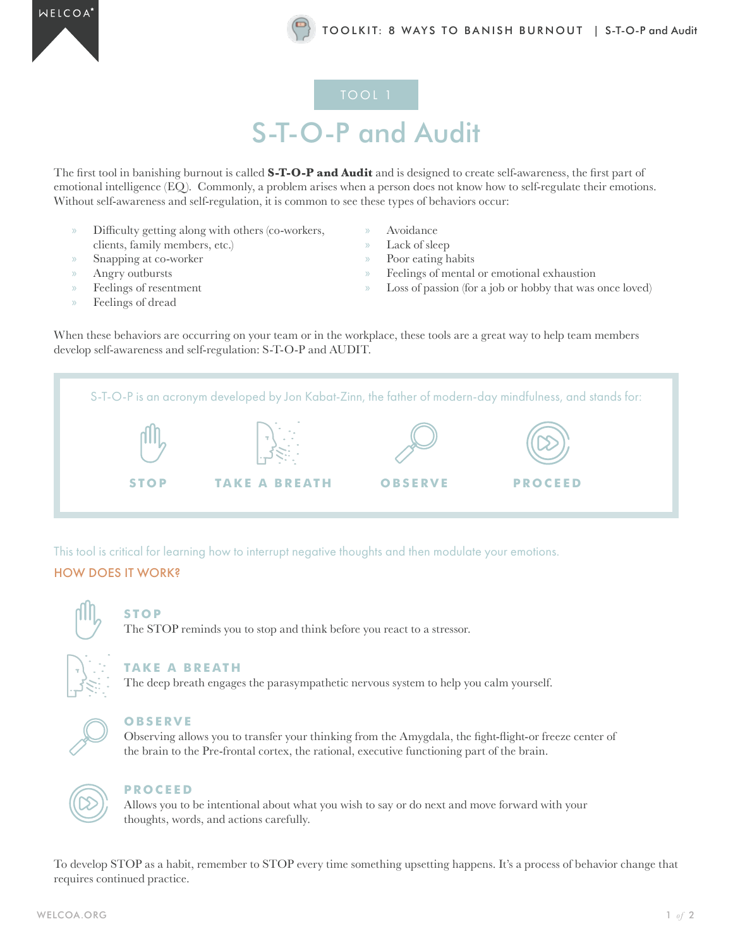### S-T-O-P and Audit

The first tool in banishing burnout is called **S-T-O-P and Audit** and is designed to create self-awareness, the first part of emotional intelligence (EQ). Commonly, a problem arises when a person does not know how to self-regulate their emotions. Without self-awareness and self-regulation, it is common to see these types of behaviors occur:

- » Difficulty getting along with others (co-workers, clients, family members, etc.)
- » Snapping at co-worker
- » Angry outbursts
- » Feelings of resentment
- » Feelings of dread
- » Avoidance
- » Lack of sleep
- » Poor eating habits
- » Feelings of mental or emotional exhaustion
- » Loss of passion (for a job or hobby that was once loved)

When these behaviors are occurring on your team or in the workplace, these tools are a great way to help team members develop self-awareness and self-regulation: S-T-O-P and AUDIT.

**STOP TAKE A BREATH OBSERVE PROCEED** S-T-O-P is an acronym developed by Jon Kabat-Zinn, the father of modern-day mindfulness, and stands for:

This tool is critical for learning how to interrupt negative thoughts and then modulate your emotions.

### HOW DOES IT WORK?



### **STOP**

The STOP reminds you to stop and think before you react to a stressor.



#### **TAKE A BREATH**

The deep breath engages the parasympathetic nervous system to help you calm yourself.



### **OBSERVE**

Observing allows you to transfer your thinking from the Amygdala, the fight-flight-or freeze center of the brain to the Pre-frontal cortex, the rational, executive functioning part of the brain.



### **PROCEED**

Allows you to be intentional about what you wish to say or do next and move forward with your thoughts, words, and actions carefully.

To develop STOP as a habit, remember to STOP every time something upsetting happens. It's a process of behavior change that requires continued practice.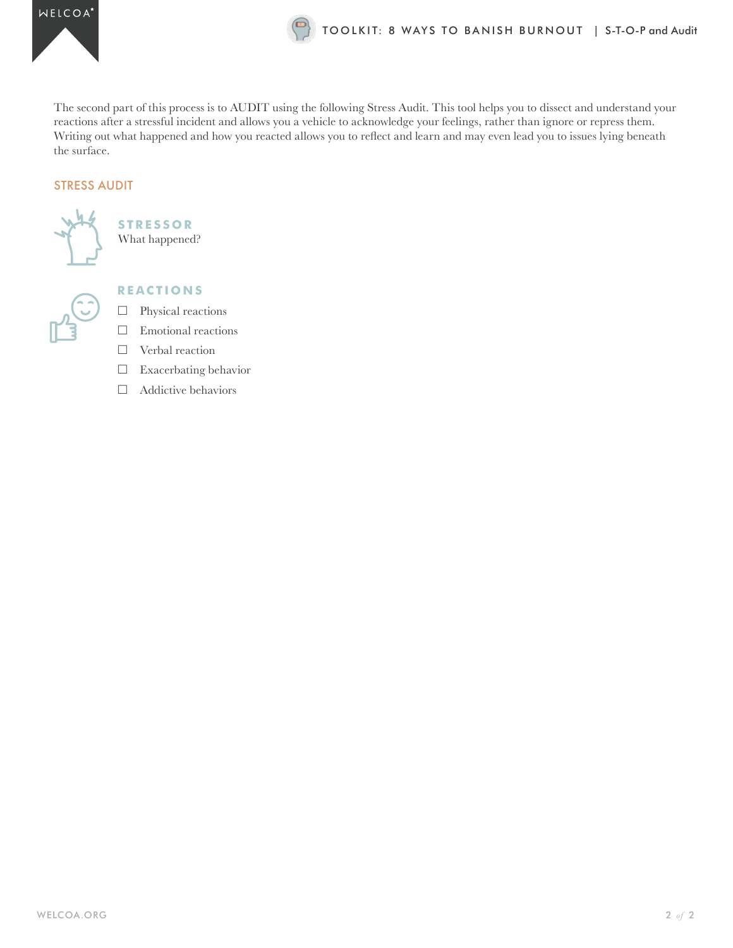

The second part of this process is to AUDIT using the following Stress Audit. This tool helps you to dissect and understand your reactions after a stressful incident and allows you a vehicle to acknowledge your feelings, rather than ignore or repress them. Writing out what happened and how you reacted allows you to reflect and learn and may even lead you to issues lying beneath the surface.

### STRESS AUDIT



**STRESSOR** What happened?



### **REACTIONS**

- $\qquad \qquad \Box \quad$  Physical reactions
- $\square$  Emotional reactions
- $\Box$  Verbal reaction
- $\square$  Exacerbating behavior
- $\Box$  Addictive behaviors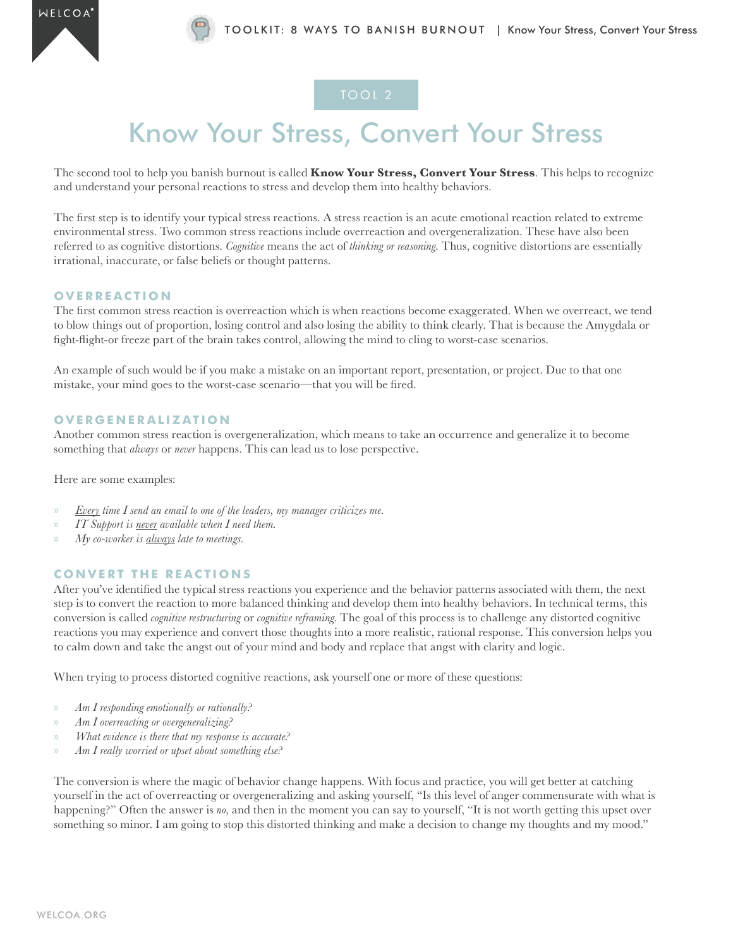

### Know Your Stress, Convert Your Stress

The second tool to help you banish burnout is called **Know Your Stress, Convert Your Stress**. This helps to recognize and understand your personal reactions to stress and develop them into healthy behaviors.

The first step is to identify your typical stress reactions. A stress reaction is an acute emotional reaction related to extreme environmental stress. Two common stress reactions include overreaction and overgeneralization. These have also been referred to as cognitive distortions. *Cognitive* means the act of *thinking or reasoning*. Thus, cognitive distortions are essentially irrational, inaccurate, or false beliefs or thought patterns.

### **OVERREACTION**

The first common stress reaction is overreaction which is when reactions become exaggerated. When we overreact, we tend to blow things out of proportion, losing control and also losing the ability to think clearly. That is because the Amygdala or fight-flight-or freeze part of the brain takes control, allowing the mind to cling to worst-case scenarios.

An example of such would be if you make a mistake on an important report, presentation, or project. Due to that one mistake, your mind goes to the worst-case scenario—that you will be fired.

#### **OVERGENERALIZATION**

Another common stress reaction is overgeneralization, which means to take an occurrence and generalize it to become something that *always* or *never* happens. This can lead us to lose perspective.

Here are some examples:

- » *Every time I send an email to one of the leaders, my manager criticizes me.*
- » *IT Support is never available when I need them.*
- » *My co-worker is always late to meetings.*

### **CONVERT THE REACTIONS**

After you've identified the typical stress reactions you experience and the behavior patterns associated with them, the next step is to convert the reaction to more balanced thinking and develop them into healthy behaviors. In technical terms, this conversion is called *cognitive restructuring* or *cognitive reframing*. The goal of this process is to challenge any distorted cognitive reactions you may experience and convert those thoughts into a more realistic, rational response. This conversion helps you to calm down and take the angst out of your mind and body and replace that angst with clarity and logic.

When trying to process distorted cognitive reactions, ask yourself one or more of these questions:

- » *Am I responding emotionally or rationally?*
- » *Am I overreacting or overgeneralizing?*
- » *What evidence is there that my response is accurate?*
- » *Am I really worried or upset about something else?*

The conversion is where the magic of behavior change happens. With focus and practice, you will get better at catching yourself in the act of overreacting or overgeneralizing and asking yourself, "Is this level of anger commensurate with what is happening?" Often the answer is *no*, and then in the moment you can say to yourself, "It is not worth getting this upset over something so minor. I am going to stop this distorted thinking and make a decision to change my thoughts and my mood."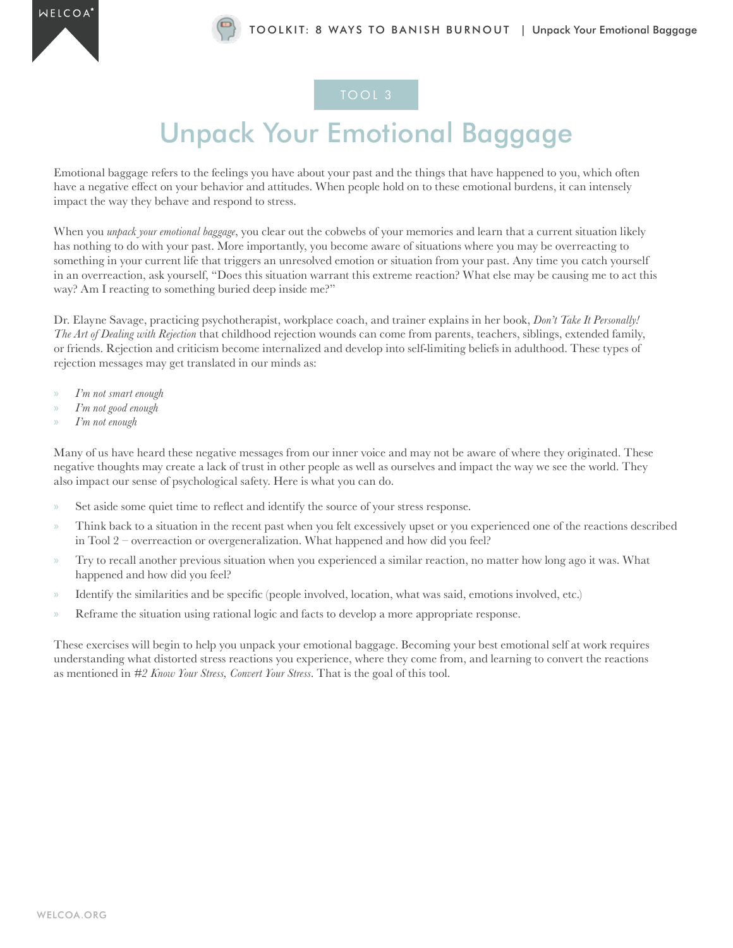### Unpack Your Emotional Baggage

Emotional baggage refers to the feelings you have about your past and the things that have happened to you, which often have a negative effect on your behavior and attitudes. When people hold on to these emotional burdens, it can intensely impact the way they behave and respond to stress.

When you *unpack your emotional baggage*, you clear out the cobwebs of your memories and learn that a current situation likely has nothing to do with your past. More importantly, you become aware of situations where you may be overreacting to something in your current life that triggers an unresolved emotion or situation from your past. Any time you catch yourself in an overreaction, ask yourself, "Does this situation warrant this extreme reaction? What else may be causing me to act this way? Am I reacting to something buried deep inside me?"

Dr. Elayne Savage, practicing psychotherapist, workplace coach, and trainer explains in her book, *Don't Take It Personally! The Art of Dealing with Rejection* that childhood rejection wounds can come from parents, teachers, siblings, extended family, or friends. Rejection and criticism become internalized and develop into self-limiting beliefs in adulthood. These types of rejection messages may get translated in our minds as:

- » *I'm not smart enough*
- » *I'm not good enough*
- » *I'm not enough*

Many of us have heard these negative messages from our inner voice and may not be aware of where they originated. These negative thoughts may create a lack of trust in other people as well as ourselves and impact the way we see the world. They also impact our sense of psychological safety. Here is what you can do.

- » Set aside some quiet time to reflect and identify the source of your stress response.
- » Think back to a situation in the recent past when you felt excessively upset or you experienced one of the reactions described in Tool 2 – overreaction or overgeneralization. What happened and how did you feel?
- » Try to recall another previous situation when you experienced a similar reaction, no matter how long ago it was. What happened and how did you feel?
- » Identify the similarities and be specific (people involved, location, what was said, emotions involved, etc.)
- » Reframe the situation using rational logic and facts to develop a more appropriate response.

These exercises will begin to help you unpack your emotional baggage. Becoming your best emotional self at work requires understanding what distorted stress reactions you experience, where they come from, and learning to convert the reactions as mentioned in *#2 Know Your Stress, Convert Your Stress*. That is the goal of this tool.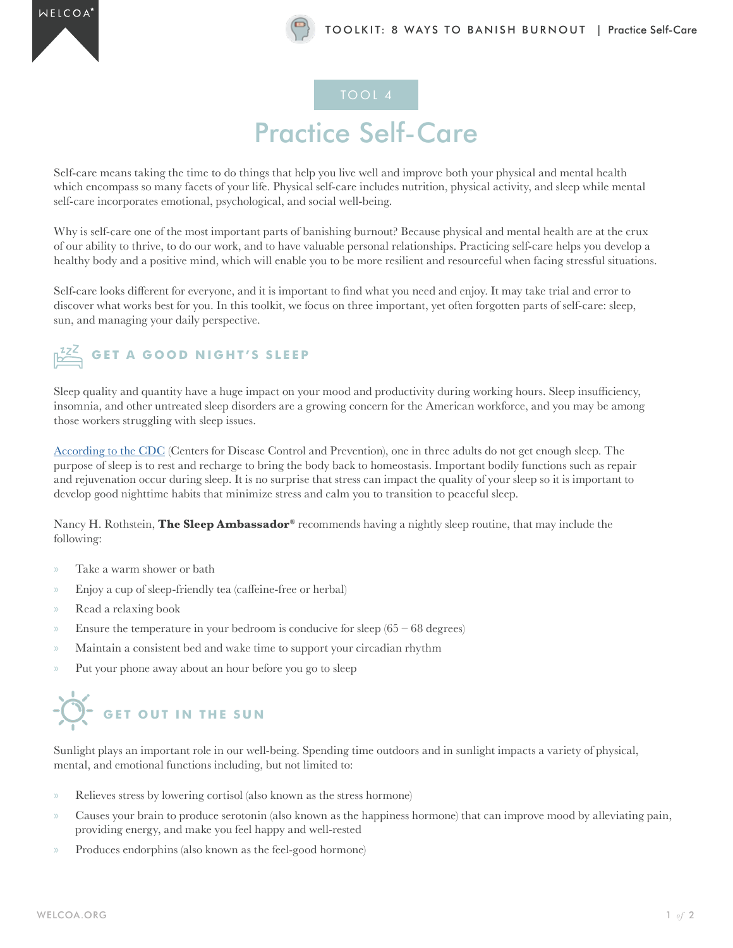## Practice Self-Care

Self-care means taking the time to do things that help you live well and improve both your physical and mental health which encompass so many facets of your life. Physical self-care includes nutrition, physical activity, and sleep while mental self-care incorporates emotional, psychological, and social well-being.

Why is self-care one of the most important parts of banishing burnout? Because physical and mental health are at the crux of our ability to thrive, to do our work, and to have valuable personal relationships. Practicing self-care helps you develop a healthy body and a positive mind, which will enable you to be more resilient and resourceful when facing stressful situations.

Self-care looks different for everyone, and it is important to find what you need and enjoy. It may take trial and error to discover what works best for you. In this toolkit, we focus on three important, yet often forgotten parts of self-care: sleep, sun, and managing your daily perspective.

### **GET A GOOD NIGHT'S SLEEP**

Sleep quality and quantity have a huge impact on your mood and productivity during working hours. Sleep insufficiency, insomnia, and other untreated sleep disorders are a growing concern for the American workforce, and you may be among those workers struggling with sleep issues.

[According to the CDC](https://www.cdc.gov/media/releases/2016/p0215-enough-sleep.html) (Centers for Disease Control and Prevention), one in three adults do not get enough sleep. The purpose of sleep is to rest and recharge to bring the body back to homeostasis. Important bodily functions such as repair and rejuvenation occur during sleep. It is no surprise that stress can impact the quality of your sleep so it is important to develop good nighttime habits that minimize stress and calm you to transition to peaceful sleep.

Nancy H. Rothstein, **The Sleep Ambassador®** recommends having a nightly sleep routine, that may include the following:

- » Take a warm shower or bath
- » Enjoy a cup of sleep-friendly tea (caffeine-free or herbal)
- » Read a relaxing book
- $\infty$  Ensure the temperature in your bedroom is conducive for sleep (65 68 degrees)
- » Maintain a consistent bed and wake time to support your circadian rhythm
- » Put your phone away about an hour before you go to sleep

## $\widetilde{D}$  GET OUT IN THE SUN

Sunlight plays an important role in our well-being. Spending time outdoors and in sunlight impacts a variety of physical, mental, and emotional functions including, but not limited to:

- » Relieves stress by lowering cortisol (also known as the stress hormone)
- » Causes your brain to produce serotonin (also known as the happiness hormone) that can improve mood by alleviating pain, providing energy, and make you feel happy and well-rested
- » Produces endorphins (also known as the feel-good hormone)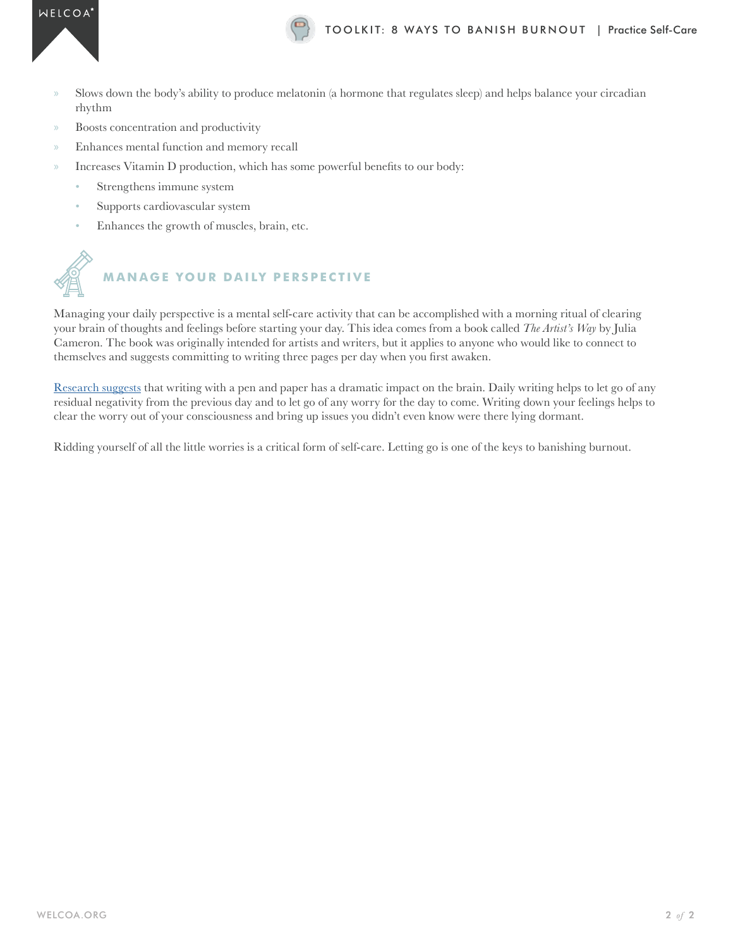

- » Slows down the body's ability to produce melatonin (a hormone that regulates sleep) and helps balance your circadian rhythm
- » Boosts concentration and productivity
- » Enhances mental function and memory recall
- » Increases Vitamin D production, which has some powerful benefits to our body:
	- Strengthens immune system
	- Supports cardiovascular system
	- Enhances the growth of muscles, brain, etc.



## **MANAGE YOUR DAILY PERSPECTIVE**

Managing your daily perspective is a mental self-care activity that can be accomplished with a morning ritual of clearing your brain of thoughts and feelings before starting your day. This idea comes from a book called *The Artist's Way* by Julia Cameron. The book was originally intended for artists and writers, but it applies to anyone who would like to connect to themselves and suggests committing to writing three pages per day when you first awaken.

[Research suggests](https://thriveglobal.com/stories/the-health-importance-of-pen-and-paper-journaling/) that writing with a pen and paper has a dramatic impact on the brain. Daily writing helps to let go of any residual negativity from the previous day and to let go of any worry for the day to come. Writing down your feelings helps to clear the worry out of your consciousness and bring up issues you didn't even know were there lying dormant.

Ridding yourself of all the little worries is a critical form of self-care. Letting go is one of the keys to banishing burnout.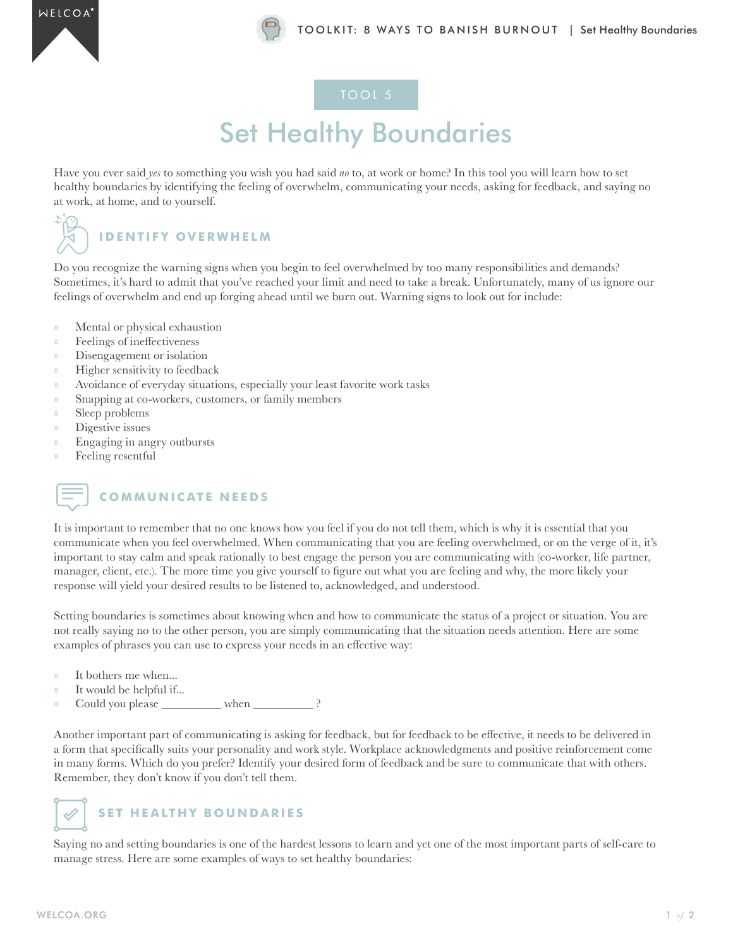### **Set Healthy Boundaries**

Have you ever said *yes* to something you wish you had said *no* to, at work or home? In this tool you will learn how to set healthy boundaries by identifying the feeling of overwhelm, communicating your needs, asking for feedback, and saying no at work, at home, and to yourself.



### **IDENTIFY OVERWHELM**

Do you recognize the warning signs when you begin to feel overwhelmed by too many responsibilities and demands? Sometimes, it's hard to admit that you've reached your limit and need to take a break. Unfortunately, many of us ignore our feelings of overwhelm and end up forging ahead until we burn out. Warning signs to look out for include:

- » Mental or physical exhaustion
- » Feelings of ineffectiveness
- » Disengagement or isolation
- » Higher sensitivity to feedback
- » Avoidance of everyday situations, especially your least favorite work tasks
- » Snapping at co-workers, customers, or family members
- » Sleep problems
- » Digestive issues
- » Engaging in angry outbursts
- » Feeling resentful



### **COMMUNICATE NEEDS**

It is important to remember that no one knows how you feel if you do not tell them, which is why it is essential that you communicate when you feel overwhelmed. When communicating that you are feeling overwhelmed, or on the verge of it, it's important to stay calm and speak rationally to best engage the person you are communicating with (co-worker, life partner, manager, client, etc.). The more time you give yourself to figure out what you are feeling and why, the more likely your response will yield your desired results to be listened to, acknowledged, and understood.

Setting boundaries is sometimes about knowing when and how to communicate the status of a project or situation. You are not really saying no to the other person, you are simply communicating that the situation needs attention. Here are some examples of phrases you can use to express your needs in an effective way:

- » It bothers me when...
- » It would be helpful if...
- » Could you please when ?

Another important part of communicating is asking for feedback, but for feedback to be effective, it needs to be delivered in a form that specifically suits your personality and work style. Workplace acknowledgments and positive reinforcement come in many forms. Which do you prefer? Identify your desired form of feedback and be sure to communicate that with others. Remember, they don't know if you don't tell them.

### **SET HEALTHY BOUNDARIES**

Saying no and setting boundaries is one of the hardest lessons to learn and yet one of the most important parts of self-care to manage stress. Here are some examples of ways to set healthy boundaries: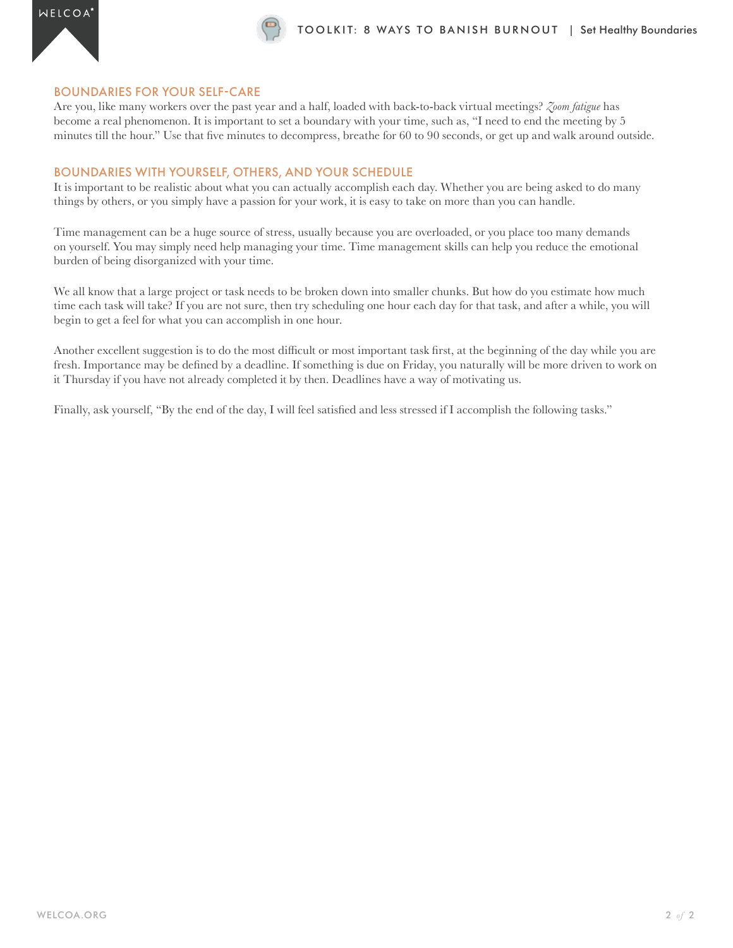

#### BOUNDARIES FOR YOUR SELF-CARE

Are you, like many workers over the past year and a half, loaded with back-to-back virtual meetings? *Zoom fatigue* has become a real phenomenon. It is important to set a boundary with your time, such as, "I need to end the meeting by 5 minutes till the hour." Use that five minutes to decompress, breathe for 60 to 90 seconds, or get up and walk around outside.

#### BOUNDARIES WITH YOURSELF, OTHERS, AND YOUR SCHEDULE

It is important to be realistic about what you can actually accomplish each day. Whether you are being asked to do many things by others, or you simply have a passion for your work, it is easy to take on more than you can handle.

Time management can be a huge source of stress, usually because you are overloaded, or you place too many demands on yourself. You may simply need help managing your time. Time management skills can help you reduce the emotional burden of being disorganized with your time.

We all know that a large project or task needs to be broken down into smaller chunks. But how do you estimate how much time each task will take? If you are not sure, then try scheduling one hour each day for that task, and after a while, you will begin to get a feel for what you can accomplish in one hour.

Another excellent suggestion is to do the most difficult or most important task first, at the beginning of the day while you are fresh. Importance may be defined by a deadline. If something is due on Friday, you naturally will be more driven to work on it Thursday if you have not already completed it by then. Deadlines have a way of motivating us.

Finally, ask yourself, "By the end of the day, I will feel satisfied and less stressed if I accomplish the following tasks."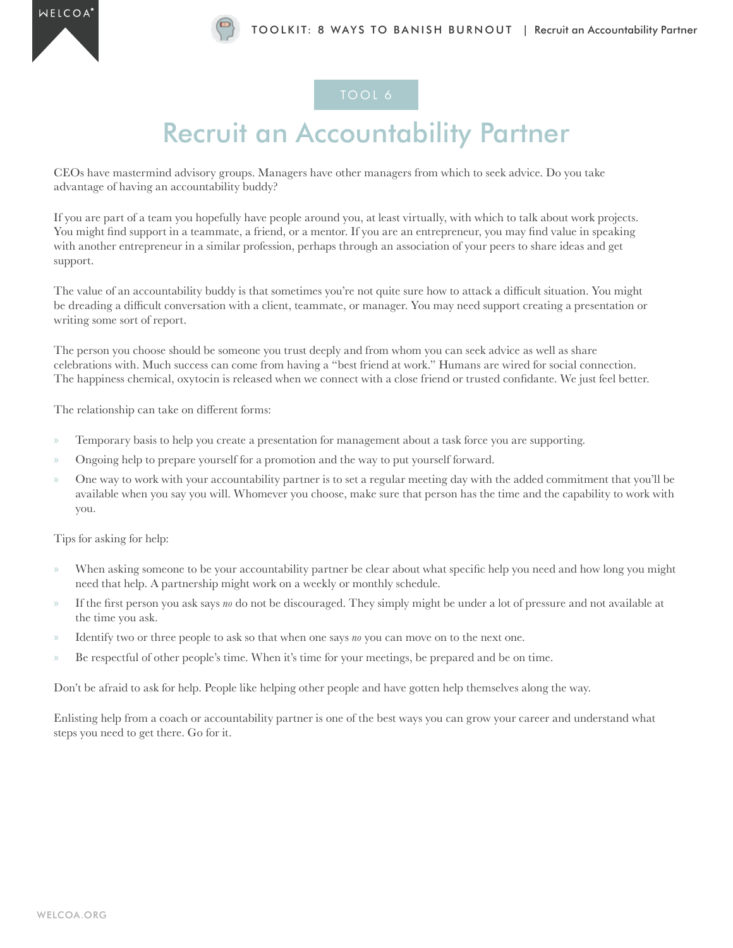## Recruit an Accountability Partner

CEOs have mastermind advisory groups. Managers have other managers from which to seek advice. Do you take advantage of having an accountability buddy?

If you are part of a team you hopefully have people around you, at least virtually, with which to talk about work projects. You might find support in a teammate, a friend, or a mentor. If you are an entrepreneur, you may find value in speaking with another entrepreneur in a similar profession, perhaps through an association of your peers to share ideas and get support.

The value of an accountability buddy is that sometimes you're not quite sure how to attack a difficult situation. You might be dreading a difficult conversation with a client, teammate, or manager. You may need support creating a presentation or writing some sort of report.

The person you choose should be someone you trust deeply and from whom you can seek advice as well as share celebrations with. Much success can come from having a "best friend at work." Humans are wired for social connection. The happiness chemical, oxytocin is released when we connect with a close friend or trusted confidante. We just feel better.

The relationship can take on different forms:

- » Temporary basis to help you create a presentation for management about a task force you are supporting.
- » Ongoing help to prepare yourself for a promotion and the way to put yourself forward.
- » One way to work with your accountability partner is to set a regular meeting day with the added commitment that you'll be available when you say you will. Whomever you choose, make sure that person has the time and the capability to work with you.

Tips for asking for help:

- » When asking someone to be your accountability partner be clear about what specific help you need and how long you might need that help. A partnership might work on a weekly or monthly schedule.
- » If the first person you ask says *no* do not be discouraged. They simply might be under a lot of pressure and not available at the time you ask.
- » Identify two or three people to ask so that when one says *no* you can move on to the next one.
- » Be respectful of other people's time. When it's time for your meetings, be prepared and be on time.

Don't be afraid to ask for help. People like helping other people and have gotten help themselves along the way.

Enlisting help from a coach or accountability partner is one of the best ways you can grow your career and understand what steps you need to get there. Go for it.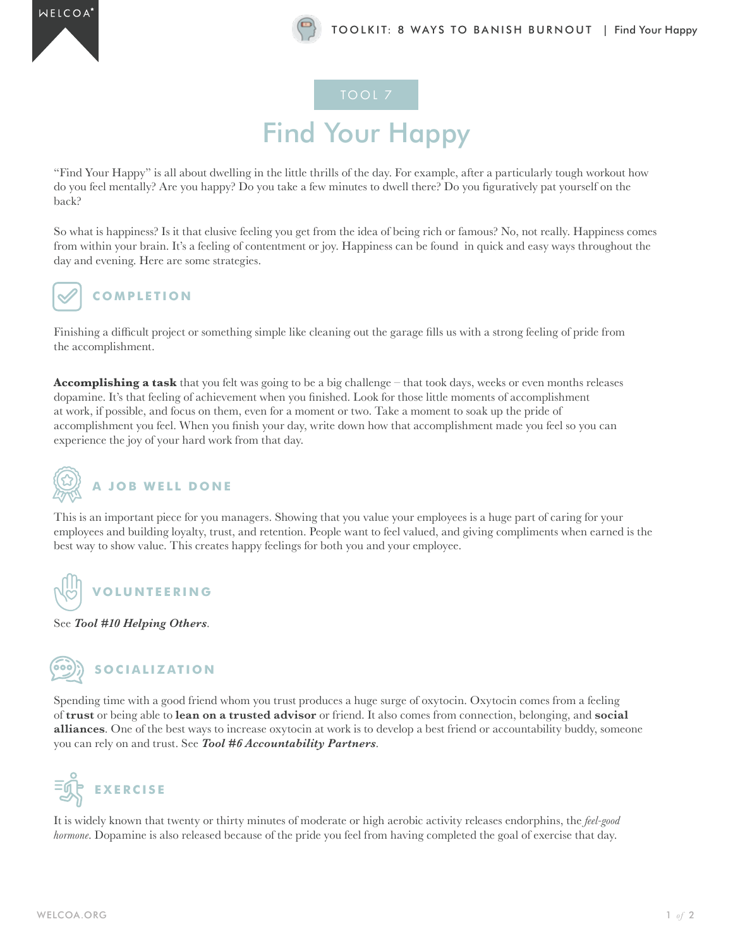# Find Your Happy

"Find Your Happy" is all about dwelling in the little thrills of the day. For example, after a particularly tough workout how do you feel mentally? Are you happy? Do you take a few minutes to dwell there? Do you figuratively pat yourself on the back?

So what is happiness? Is it that elusive feeling you get from the idea of being rich or famous? No, not really. Happiness comes from within your brain. It's a feeling of contentment or joy. Happiness can be found in quick and easy ways throughout the day and evening. Here are some strategies.



### **COMPLETION**

Finishing a difficult project or something simple like cleaning out the garage fills us with a strong feeling of pride from the accomplishment.

**Accomplishing a task** that you felt was going to be a big challenge – that took days, weeks or even months releases dopamine. It's that feeling of achievement when you finished. Look for those little moments of accomplishment at work, if possible, and focus on them, even for a moment or two. Take a moment to soak up the pride of accomplishment you feel. When you finish your day, write down how that accomplishment made you feel so you can experience the joy of your hard work from that day.



This is an important piece for you managers. Showing that you value your employees is a huge part of caring for your employees and building loyalty, trust, and retention. People want to feel valued, and giving compliments when earned is the best way to show value. This creates happy feelings for both you and your employee.



See *Tool #10 Helping Others*.



Spending time with a good friend whom you trust produces a huge surge of oxytocin. Oxytocin comes from a feeling of **trust** or being able to **lean on a trusted advisor** or friend. It also comes from connection, belonging, and **social alliances**. One of the best ways to increase oxytocin at work is to develop a best friend or accountability buddy, someone you can rely on and trust. See *Tool #6 Accountability Partners*.



It is widely known that twenty or thirty minutes of moderate or high aerobic activity releases endorphins, the *feel-good hormone*. Dopamine is also released because of the pride you feel from having completed the goal of exercise that day.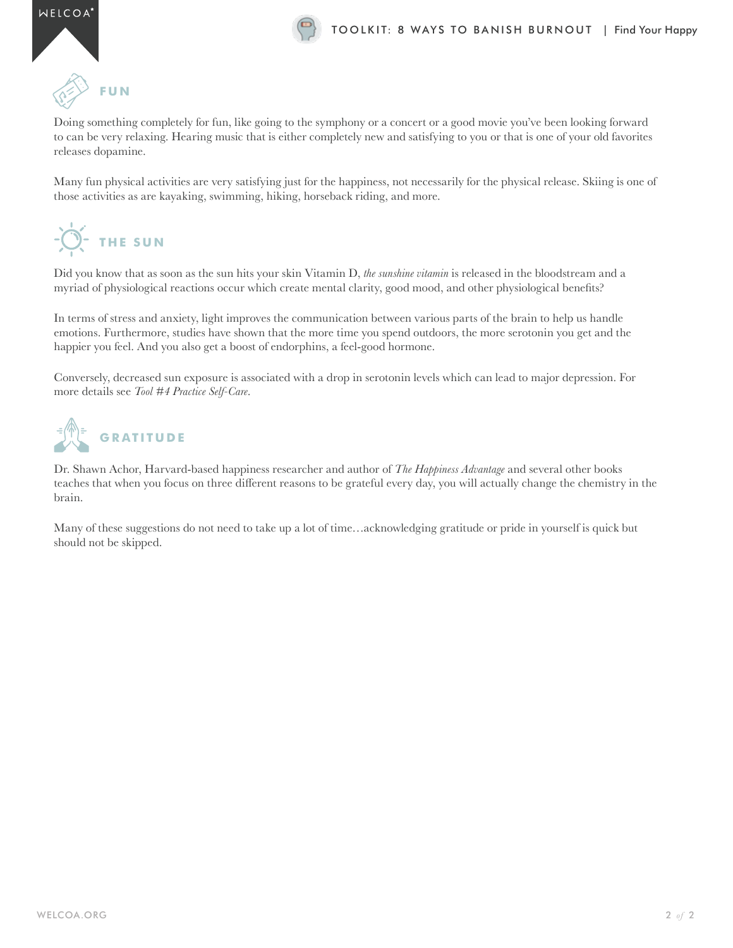

## **FUN**

Doing something completely for fun, like going to the symphony or a concert or a good movie you've been looking forward to can be very relaxing. Hearing music that is either completely new and satisfying to you or that is one of your old favorites releases dopamine.

Many fun physical activities are very satisfying just for the happiness, not necessarily for the physical release. Skiing is one of those activities as are kayaking, swimming, hiking, horseback riding, and more.

## **THE SUN**

Did you know that as soon as the sun hits your skin Vitamin D, *the sunshine vitamin* is released in the bloodstream and a myriad of physiological reactions occur which create mental clarity, good mood, and other physiological benefits?

In terms of stress and anxiety, light improves the communication between various parts of the brain to help us handle emotions. Furthermore, studies have shown that the more time you spend outdoors, the more serotonin you get and the happier you feel. And you also get a boost of endorphins, a feel-good hormone.

Conversely, decreased sun exposure is associated with a drop in serotonin levels which can lead to major depression. For more details see *Tool #4 Practice Self-Care*.



Dr. Shawn Achor, Harvard-based happiness researcher and author of *The Happiness Advantage* and several other books teaches that when you focus on three different reasons to be grateful every day, you will actually change the chemistry in the brain.

Many of these suggestions do not need to take up a lot of time…acknowledging gratitude or pride in yourself is quick but should not be skipped.